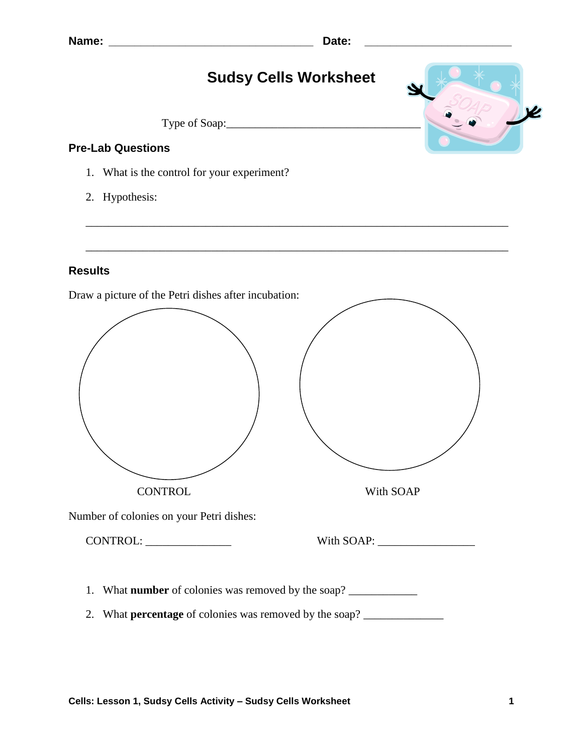

\_\_\_\_\_\_\_\_\_\_\_\_\_\_\_\_\_\_\_\_\_\_\_\_\_\_\_\_\_\_\_\_\_\_\_\_\_\_\_\_\_\_\_\_\_\_\_\_\_\_\_\_\_\_\_\_\_\_\_\_\_\_\_\_\_\_\_\_\_\_\_\_\_\_

2. Hypothesis:

## **Results**

Draw a picture of the Petri dishes after incubation:

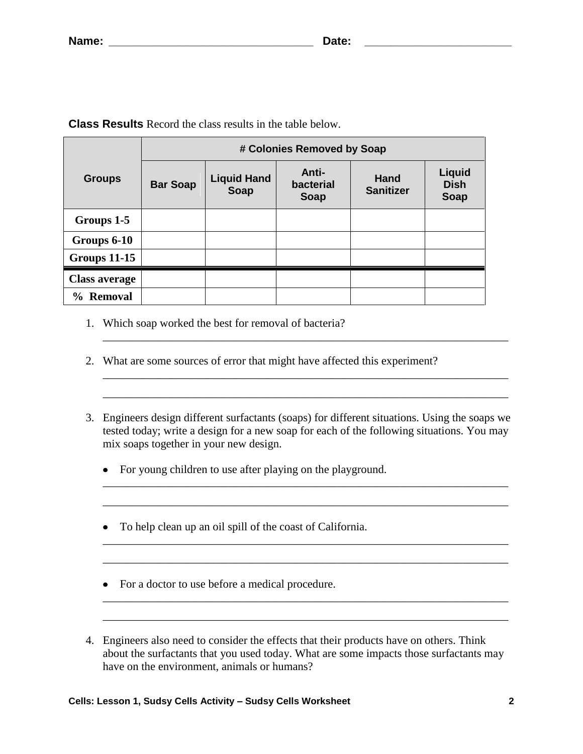|                        | # Colonies Removed by Soap |                                   |                                   |                          |                                      |  |
|------------------------|----------------------------|-----------------------------------|-----------------------------------|--------------------------|--------------------------------------|--|
| <b>Groups</b>          | <b>Bar Soap</b>            | <b>Liquid Hand</b><br><b>Soap</b> | Anti-<br>bacterial<br><b>Soap</b> | Hand<br><b>Sanitizer</b> | Liquid<br><b>Dish</b><br><b>Soap</b> |  |
| Groups 1-5             |                            |                                   |                                   |                          |                                      |  |
| Groups 6-10            |                            |                                   |                                   |                          |                                      |  |
| <b>Groups 11-15</b>    |                            |                                   |                                   |                          |                                      |  |
| <b>Class average</b>   |                            |                                   |                                   |                          |                                      |  |
| <b>Removal</b><br>$\%$ |                            |                                   |                                   |                          |                                      |  |

**Class Results** Record the class results in the table below.

- 1. Which soap worked the best for removal of bacteria?
- 2. What are some sources of error that might have affected this experiment?
- 3. Engineers design different surfactants (soaps) for different situations. Using the soaps we tested today; write a design for a new soap for each of the following situations. You may mix soaps together in your new design.

\_\_\_\_\_\_\_\_\_\_\_\_\_\_\_\_\_\_\_\_\_\_\_\_\_\_\_\_\_\_\_\_\_\_\_\_\_\_\_\_\_\_\_\_\_\_\_\_\_\_\_\_\_\_\_\_\_\_\_\_\_\_\_\_\_\_\_\_\_\_\_

\_\_\_\_\_\_\_\_\_\_\_\_\_\_\_\_\_\_\_\_\_\_\_\_\_\_\_\_\_\_\_\_\_\_\_\_\_\_\_\_\_\_\_\_\_\_\_\_\_\_\_\_\_\_\_\_\_\_\_\_\_\_\_\_\_\_\_\_\_\_\_

\_\_\_\_\_\_\_\_\_\_\_\_\_\_\_\_\_\_\_\_\_\_\_\_\_\_\_\_\_\_\_\_\_\_\_\_\_\_\_\_\_\_\_\_\_\_\_\_\_\_\_\_\_\_\_\_\_\_\_\_\_\_\_\_\_\_\_\_\_\_\_

\_\_\_\_\_\_\_\_\_\_\_\_\_\_\_\_\_\_\_\_\_\_\_\_\_\_\_\_\_\_\_\_\_\_\_\_\_\_\_\_\_\_\_\_\_\_\_\_\_\_\_\_\_\_\_\_\_\_\_\_\_\_\_\_\_\_\_\_\_\_\_

\_\_\_\_\_\_\_\_\_\_\_\_\_\_\_\_\_\_\_\_\_\_\_\_\_\_\_\_\_\_\_\_\_\_\_\_\_\_\_\_\_\_\_\_\_\_\_\_\_\_\_\_\_\_\_\_\_\_\_\_\_\_\_\_\_\_\_\_\_\_\_ \_\_\_\_\_\_\_\_\_\_\_\_\_\_\_\_\_\_\_\_\_\_\_\_\_\_\_\_\_\_\_\_\_\_\_\_\_\_\_\_\_\_\_\_\_\_\_\_\_\_\_\_\_\_\_\_\_\_\_\_\_\_\_\_\_\_\_\_\_\_\_

- For young children to use after playing on the playground.
- To help clean up an oil spill of the coast of California.
- For a doctor to use before a medical procedure.
- 4. Engineers also need to consider the effects that their products have on others. Think about the surfactants that you used today. What are some impacts those surfactants may have on the environment, animals or humans?